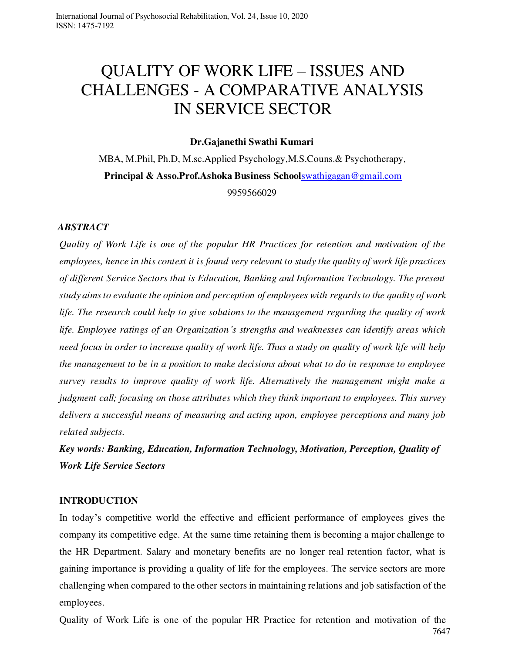# QUALITY OF WORK LIFE – ISSUES AND CHALLENGES - A COMPARATIVE ANALYSIS IN SERVICE SECTOR

### **Dr.Gajanethi Swathi Kumari**

MBA, M.Phil, Ph.D, M.sc.Applied Psychology, M.S.Couns.& Psychotherapy, **Principal & Asso.Prof. Ashoka Business School[swathigagan@gmail.com](mailto:swathigagan@gmail.com)** 9959566029

### *ABSTRACT*

*Quality of Work Life is one of the popular HR Practices for retention and motivation of the employees, hence in this context it is found very relevant to study the quality of work life practices of different Service Sectors that is Education, Banking and Information Technology. The present study aims to evaluate the opinion and perception of employees with regards to the quality of work life. The research could help to give solutions to the management regarding the quality of work life. Employee ratings of an Organization's strengths and weaknesses can identify areas which need focus in order to increase quality of work life. Thus a study on quality of work life will help the management to be in a position to make decisions about what to do in response to employee survey results to improve quality of work life. Alternatively the management might make a judgment call; focusing on those attributes which they think important to employees. This survey delivers a successful means of measuring and acting upon, employee perceptions and many job related subjects.* 

*Key words: Banking, Education, Information Technology, Motivation, Perception, Quality of Work Life Service Sectors* 

#### **INTRODUCTION**

In today's competitive world the effective and efficient performance of employees gives the company its competitive edge. At the same time retaining them is becoming a major challenge to the HR Department. Salary and monetary benefits are no longer real retention factor, what is gaining importance is providing a quality of life for the employees. The service sectors are more challenging when compared to the other sectors in maintaining relations and job satisfaction of the employees.

7647 Quality of Work Life is one of the popular HR Practice for retention and motivation of the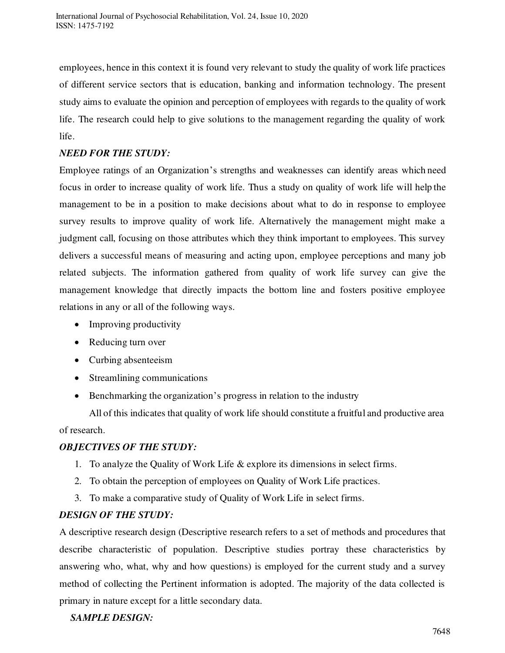employees, hence in this context it is found very relevant to study the quality of work life practices of different service sectors that is education, banking and information technology. The present study aims to evaluate the opinion and perception of employees with regards to the quality of work life. The research could help to give solutions to the management regarding the quality of work life.

### *NEED FOR THE STUDY:*

Employee ratings of an Organization's strengths and weaknesses can identify areas which need focus in order to increase quality of work life. Thus a study on quality of work life will help the management to be in a position to make decisions about what to do in response to employee survey results to improve quality of work life. Alternatively the management might make a judgment call, focusing on those attributes which they think important to employees. This survey delivers a successful means of measuring and acting upon, employee perceptions and many job related subjects. The information gathered from quality of work life survey can give the management knowledge that directly impacts the bottom line and fosters positive employee relations in any or all of the following ways.

- Improving productivity
- Reducing turn over
- Curbing absenteeism
- Streamlining communications
- Benchmarking the organization's progress in relation to the industry

All of this indicates that quality of work life should constitute a fruitful and productive area

of research.

### *OBJECTIVES OF THE STUDY:*

- 1. To analyze the Quality of Work Life & explore its dimensions in select firms.
- 2. To obtain the perception of employees on Quality of Work Life practices.
- 3. To make a comparative study of Quality of Work Life in select firms.

### *DESIGN OF THE STUDY:*

A descriptive research design (Descriptive research refers to a set of methods and procedures that describe characteristic of population. Descriptive studies portray these characteristics by answering who, what, why and how questions) is employed for the current study and a survey method of collecting the Pertinent information is adopted. The majority of the data collected is primary in nature except for a little secondary data.

# *SAMPLE DESIGN:*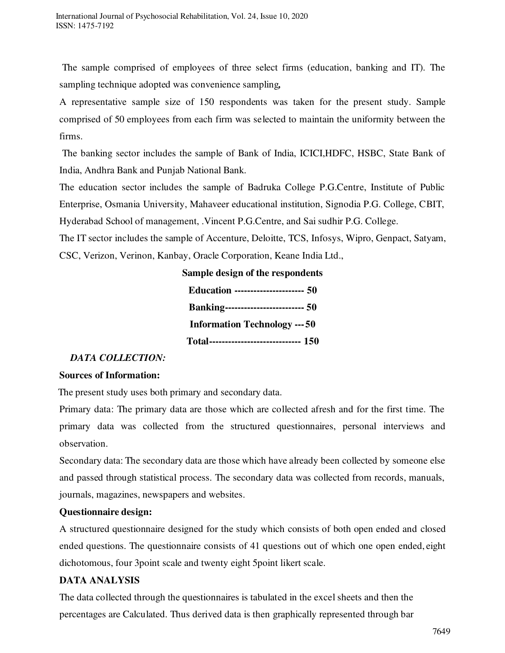The sample comprised of employees of three select firms (education, banking and IT). The sampling technique adopted was convenience sampling*,* 

A representative sample size of 150 respondents was taken for the present study. Sample comprised of 50 employees from each firm was selected to maintain the uniformity between the firms.

The banking sector includes the sample of Bank of India, ICICI,HDFC, HSBC, State Bank of India, Andhra Bank and Punjab National Bank.

The education sector includes the sample of Badruka College P.G.Centre, Institute of Public Enterprise, Osmania University, Mahaveer educational institution, Signodia P.G. College, CBIT, Hyderabad School of management, .Vincent P.G.Centre, and Sai sudhir P.G. College.

The IT sector includes the sample of Accenture, Deloitte, TCS, Infosys, Wipro, Genpact, Satyam, CSC, Verizon, Verinon, Kanbay, Oracle Corporation, Keane India Ltd.,

| Sample design of the respondents           |
|--------------------------------------------|
| <b>Education ---------------------- 50</b> |
| <b>Banking------------------------- 50</b> |
| <b>Information Technology --- 50</b>       |
| Total----------------------------- 150     |

### *DATA COLLECTION:*

### **Sources of Information:**

The present study uses both primary and secondary data.

Primary data: The primary data are those which are collected afresh and for the first time. The primary data was collected from the structured questionnaires, personal interviews and observation.

Secondary data: The secondary data are those which have already been collected by someone else and passed through statistical process. The secondary data was collected from records, manuals, journals, magazines, newspapers and websites.

### **Questionnaire design:**

A structured questionnaire designed for the study which consists of both open ended and closed ended questions. The questionnaire consists of 41 questions out of which one open ended, eight dichotomous, four 3point scale and twenty eight 5point likert scale.

### **DATA ANALYSIS**

The data collected through the questionnaires is tabulated in the excel sheets and then the percentages are Calculated. Thus derived data is then graphically represented through bar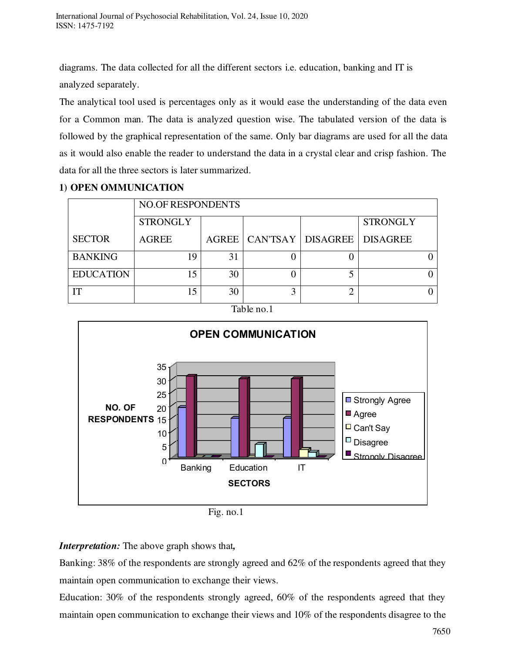diagrams. The data collected for all the different sectors i.e. education, banking and IT is analyzed separately.

The analytical tool used is percentages only as it would ease the understanding of the data even for a Common man. The data is analyzed question wise. The tabulated version of the data is followed by the graphical representation of the same. Only bar diagrams are used for all the data as it would also enable the reader to understand the data in a crystal clear and crisp fashion. The data for all the three sectors is later summarized.

### **1) OPEN OMMUNICATION**

|                  |                 | <b>NO.OF RESPONDENTS</b> |  |                                        |                 |  |  |
|------------------|-----------------|--------------------------|--|----------------------------------------|-----------------|--|--|
|                  | <b>STRONGLY</b> |                          |  |                                        | <b>STRONGLY</b> |  |  |
| <b>SECTOR</b>    | <b>AGREE</b>    |                          |  | AGREE   CAN'TSAY   DISAGREE   DISAGREE |                 |  |  |
| <b>BANKING</b>   | 19              | 31                       |  |                                        |                 |  |  |
| <b>EDUCATION</b> |                 | 30                       |  |                                        |                 |  |  |
| m                |                 | 30                       |  |                                        |                 |  |  |

### Table no.1



Fig. no.1

### *Interpretation:* The above graph shows that*,*

Banking: 38% of the respondents are strongly agreed and 62% of the respondents agreed that they maintain open communication to exchange their views.

Education: 30% of the respondents strongly agreed, 60% of the respondents agreed that they maintain open communication to exchange their views and 10% of the respondents disagree to the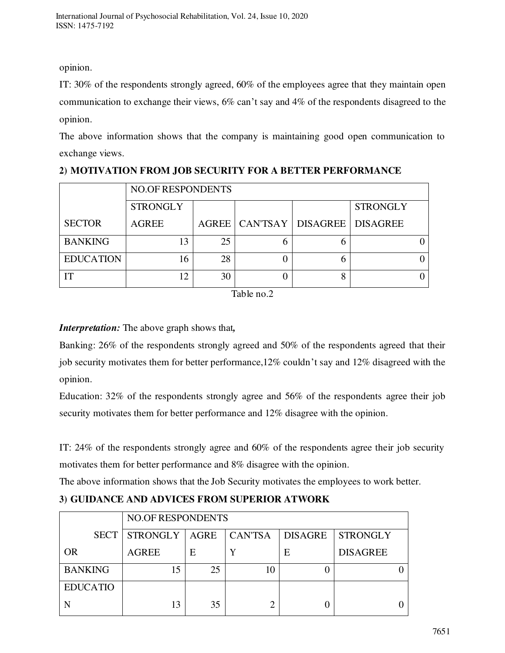opinion.

IT: 30% of the respondents strongly agreed, 60% of the employees agree that they maintain open communication to exchange their views, 6% can't say and 4% of the respondents disagreed to the opinion.

The above information shows that the company is maintaining good open communication to exchange views.

|                  |                 | NO.OF RESPONDENTS |  |                                        |                 |  |
|------------------|-----------------|-------------------|--|----------------------------------------|-----------------|--|
|                  | <b>STRONGLY</b> |                   |  |                                        | <b>STRONGLY</b> |  |
| <b>SECTOR</b>    | <b>AGREE</b>    |                   |  | AGREE   CAN'TSAY   DISAGREE   DISAGREE |                 |  |
| <b>BANKING</b>   | 13              | 25                |  |                                        |                 |  |
| <b>EDUCATION</b> | 16              | 28                |  |                                        |                 |  |
| IT               | 12              | 30                |  |                                        |                 |  |

**2) MOTIVATION FROM JOB SECURITY FOR A BETTER PERFORMANCE** 

Table no.2

# *Interpretation:* The above graph shows that*,*

Banking: 26% of the respondents strongly agreed and 50% of the respondents agreed that their job security motivates them for better performance,12% couldn't say and 12% disagreed with the opinion.

Education: 32% of the respondents strongly agree and 56% of the respondents agree their job security motivates them for better performance and 12% disagree with the opinion.

IT: 24% of the respondents strongly agree and 60% of the respondents agree their job security motivates them for better performance and 8% disagree with the opinion.

The above information shows that the Job Security motivates the employees to work better.

|  |  |  | 3) GUIDANCE AND ADVICES FROM SUPERIOR ATWORK |  |
|--|--|--|----------------------------------------------|--|
|--|--|--|----------------------------------------------|--|

|                 |                 | <b>NO.OF RESPONDENTS</b> |                |                |                 |
|-----------------|-----------------|--------------------------|----------------|----------------|-----------------|
| <b>SECT</b>     | <b>STRONGLY</b> | <b>AGRE</b>              | <b>CAN'TSA</b> | <b>DISAGRE</b> | <b>STRONGLY</b> |
| <b>OR</b>       | <b>AGREE</b>    | Ε                        |                | Е              | <b>DISAGREE</b> |
| <b>BANKING</b>  |                 | 25                       | 10             |                |                 |
| <b>EDUCATIO</b> |                 |                          |                |                |                 |
|                 | 13              | 35                       |                |                |                 |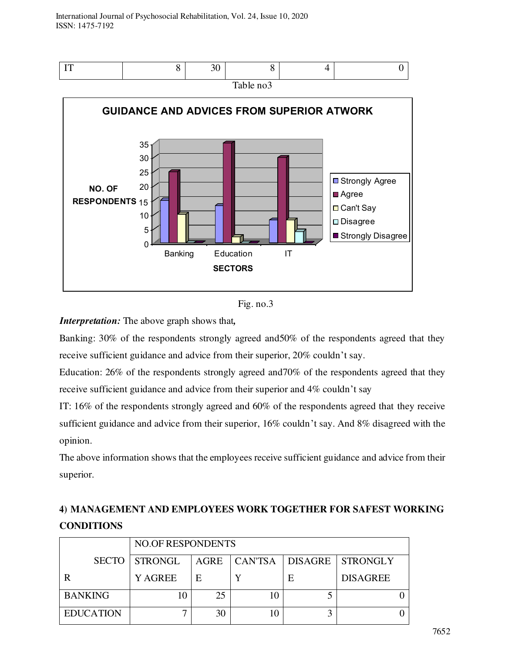



Banking: 30% of the respondents strongly agreed and50% of the respondents agreed that they receive sufficient guidance and advice from their superior, 20% couldn't say.

Education: 26% of the respondents strongly agreed and70% of the respondents agreed that they receive sufficient guidance and advice from their superior and 4% couldn't say

IT: 16% of the respondents strongly agreed and 60% of the respondents agreed that they receive sufficient guidance and advice from their superior, 16% couldn't say. And 8% disagreed with the opinion.

The above information shows that the employees receive sufficient guidance and advice from their superior.

|                  |                      | <b>NO.OF RESPONDENTS</b> |    |   |                                     |  |
|------------------|----------------------|--------------------------|----|---|-------------------------------------|--|
|                  | <b>SECTO STRONGL</b> |                          |    |   | AGRE   CAN'TSA   DISAGRE   STRONGLY |  |
|                  | <b>Y AGREE</b>       | E                        |    | E | <b>DISAGREE</b>                     |  |
| <b>BANKING</b>   | 10                   | 25                       | 10 |   |                                     |  |
| <b>EDUCATION</b> |                      | 30                       | 10 |   |                                     |  |

# **4) MANAGEMENT AND EMPLOYEES WORK TOGETHER FOR SAFEST WORKING CONDITIONS**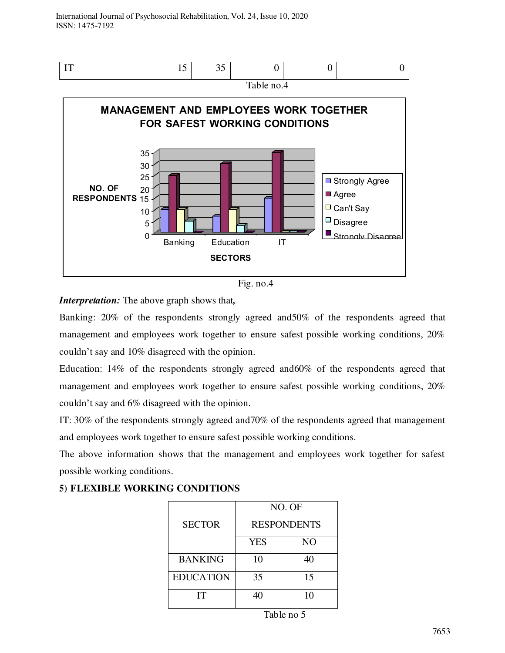



Banking: 20% of the respondents strongly agreed and50% of the respondents agreed that management and employees work together to ensure safest possible working conditions, 20% couldn't say and 10% disagreed with the opinion.

Education: 14% of the respondents strongly agreed and60% of the respondents agreed that management and employees work together to ensure safest possible working conditions, 20% couldn't say and 6% disagreed with the opinion.

IT: 30% of the respondents strongly agreed and70% of the respondents agreed that management and employees work together to ensure safest possible working conditions.

The above information shows that the management and employees work together for safest possible working conditions.

|                  |                    | NO. OF         |  |
|------------------|--------------------|----------------|--|
| <b>SECTOR</b>    | <b>RESPONDENTS</b> |                |  |
|                  | <b>YES</b>         | N <sub>O</sub> |  |
| <b>BANKING</b>   | 10                 | 40             |  |
| <b>EDUCATION</b> | 35                 | 15             |  |
| IТ               |                    | 10             |  |

### **5) FLEXIBLE WORKING CONDITIONS**

Table no 5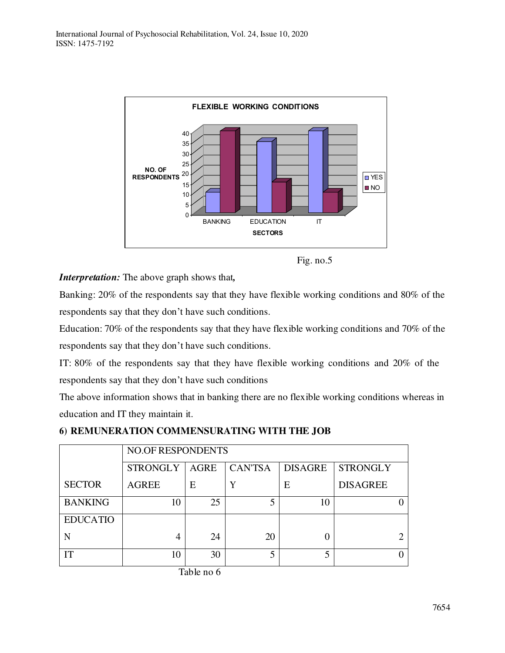

Fig. no.5

Banking: 20% of the respondents say that they have flexible working conditions and 80% of the respondents say that they don't have such conditions.

Education: 70% of the respondents say that they have flexible working conditions and 70% of the respondents say that they don't have such conditions.

IT: 80% of the respondents say that they have flexible working conditions and 20% of the respondents say that they don't have such conditions

The above information shows that in banking there are no flexible working conditions whereas in education and IT they maintain it.

|  | 6) REMUNERATION COMMENSURATING WITH THE JOB |  |  |  |  |
|--|---------------------------------------------|--|--|--|--|
|--|---------------------------------------------|--|--|--|--|

|                 |                 | <b>NO.OF RESPONDENTS</b> |                |                |                 |  |
|-----------------|-----------------|--------------------------|----------------|----------------|-----------------|--|
|                 | <b>STRONGLY</b> | <b>AGRE</b>              | <b>CAN'TSA</b> | <b>DISAGRE</b> | <b>STRONGLY</b> |  |
| <b>SECTOR</b>   | <b>AGREE</b>    | E                        | Y              | E              | <b>DISAGREE</b> |  |
| <b>BANKING</b>  | 10              | 25                       |                | 10             |                 |  |
| <b>EDUCATIO</b> |                 |                          |                |                |                 |  |
| N               | 4               | 24                       | 20             |                |                 |  |
| IТ              | 10              | 30                       |                |                |                 |  |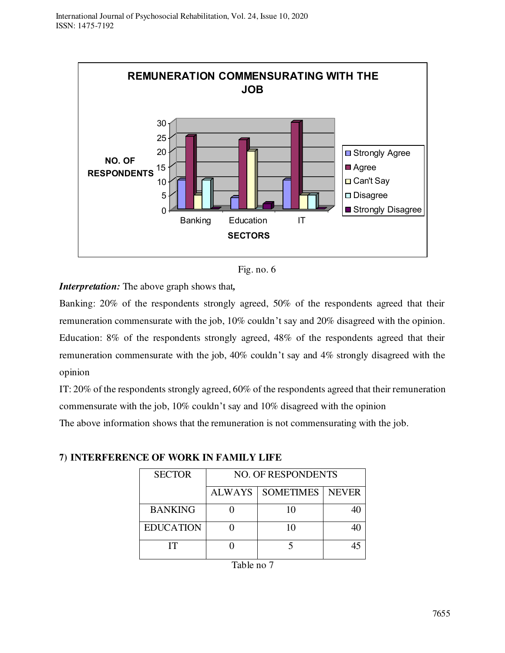

Fig. no. 6

Banking: 20% of the respondents strongly agreed, 50% of the respondents agreed that their remuneration commensurate with the job, 10% couldn't say and 20% disagreed with the opinion. Education: 8% of the respondents strongly agreed, 48% of the respondents agreed that their remuneration commensurate with the job, 40% couldn't say and 4% strongly disagreed with the opinion

IT: 20% of the respondents strongly agreed, 60% of the respondents agreed that their remuneration commensurate with the job, 10% couldn't say and 10% disagreed with the opinion

The above information shows that the remuneration is not commensurating with the job.

| <b>SECTOR</b>    | <b>NO. OF RESPONDENTS</b> |                  |              |  |  |
|------------------|---------------------------|------------------|--------------|--|--|
|                  | <b>ALWAYS</b>             | <b>SOMETIMES</b> | <b>NEVER</b> |  |  |
| <b>BANKING</b>   |                           | 10               |              |  |  |
| <b>EDUCATION</b> |                           |                  |              |  |  |
| IТ               |                           |                  |              |  |  |

**7) INTERFERENCE OF WORK IN FAMILY LIFE**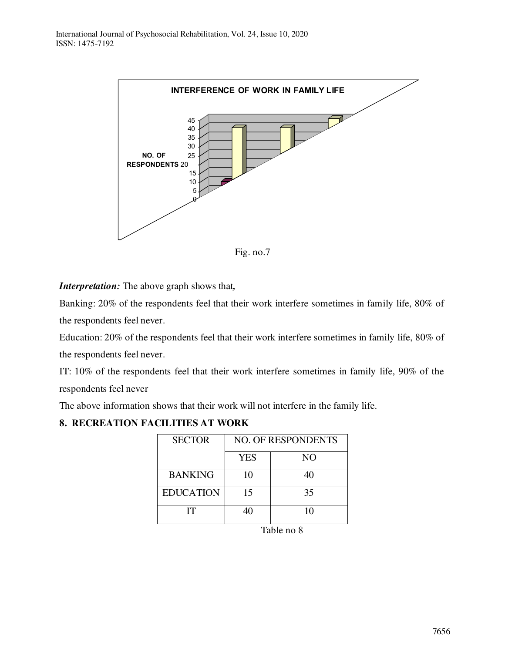

Fig. no.7

Banking: 20% of the respondents feel that their work interfere sometimes in family life, 80% of the respondents feel never.

Education: 20% of the respondents feel that their work interfere sometimes in family life, 80% of the respondents feel never.

IT: 10% of the respondents feel that their work interfere sometimes in family life, 90% of the respondents feel never

The above information shows that their work will not interfere in the family life.

### **8. RECREATION FACILITIES AT WORK**

| <b>SECTOR</b>    | <b>NO. OF RESPONDENTS</b> |     |  |  |  |
|------------------|---------------------------|-----|--|--|--|
|                  | <b>YES</b>                | NO. |  |  |  |
| <b>BANKING</b>   | 10                        | 40  |  |  |  |
| <b>EDUCATION</b> | 15                        | 35  |  |  |  |
| IТ               | 40                        | 10  |  |  |  |
|                  | Table no 8                |     |  |  |  |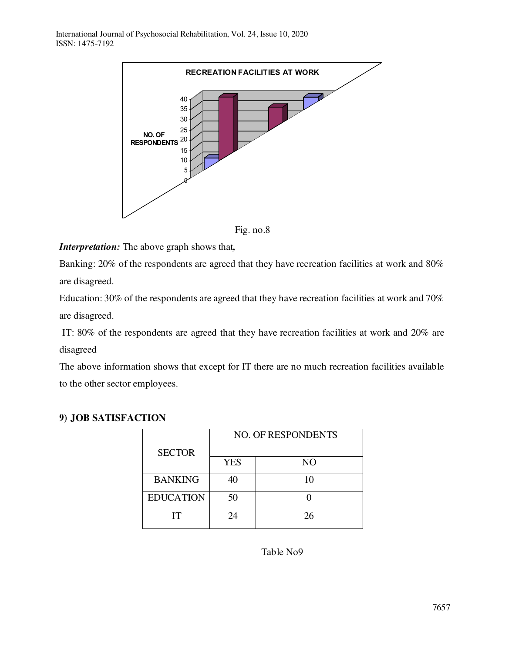

Fig. no.8

Banking: 20% of the respondents are agreed that they have recreation facilities at work and 80% are disagreed.

Education: 30% of the respondents are agreed that they have recreation facilities at work and 70% are disagreed.

IT: 80% of the respondents are agreed that they have recreation facilities at work and 20% are disagreed

The above information shows that except for IT there are no much recreation facilities available to the other sector employees.

|                  |            | <b>NO. OF RESPONDENTS</b> |
|------------------|------------|---------------------------|
| <b>SECTOR</b>    |            |                           |
|                  | <b>YES</b> | N <sub>O</sub>            |
| <b>BANKING</b>   | 40         | 10                        |
| <b>EDUCATION</b> | 50         |                           |
| IТ               | 24         | 26                        |

### **9) JOB SATISFACTION**

Table No9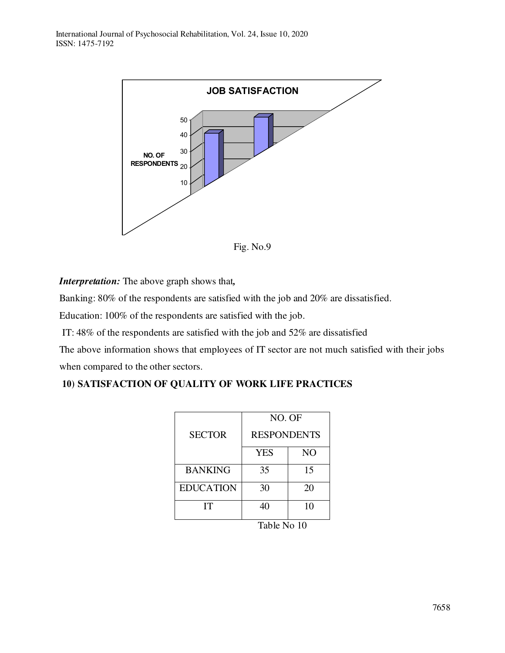

Fig. No.9

Banking: 80% of the respondents are satisfied with the job and 20% are dissatisfied.

Education: 100% of the respondents are satisfied with the job.

IT: 48% of the respondents are satisfied with the job and 52% are dissatisfied

The above information shows that employees of IT sector are not much satisfied with their jobs when compared to the other sectors.

# **10) SATISFACTION OF QUALITY OF WORK LIFE PRACTICES**

|                      | NO. OF             |    |
|----------------------|--------------------|----|
| <b>SECTOR</b>        | <b>RESPONDENTS</b> |    |
|                      | <b>YES</b>         | NO |
| <b>BANKING</b>       | 35                 | 15 |
| <b>EDUCATION</b>     | 30                 | 20 |
| <b>IT</b>            | 40                 | 10 |
| . .<br>$\sim$<br>- - |                    |    |

Table No 10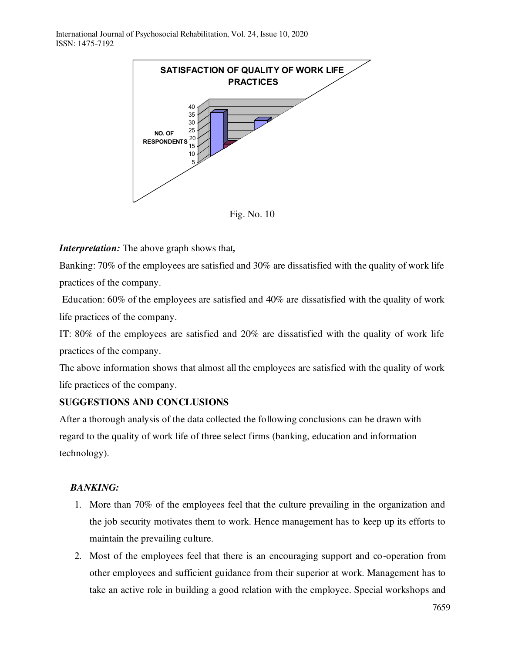

Fig. No. 10

Banking: 70% of the employees are satisfied and 30% are dissatisfied with the quality of work life practices of the company.

Education: 60% of the employees are satisfied and 40% are dissatisfied with the quality of work life practices of the company.

IT: 80% of the employees are satisfied and 20% are dissatisfied with the quality of work life practices of the company.

The above information shows that almost all the employees are satisfied with the quality of work life practices of the company.

# **SUGGESTIONS AND CONCLUSIONS**

After a thorough analysis of the data collected the following conclusions can be drawn with regard to the quality of work life of three select firms (banking, education and information technology).

# *BANKING:*

- 1. More than 70% of the employees feel that the culture prevailing in the organization and the job security motivates them to work. Hence management has to keep up its efforts to maintain the prevailing culture.
- 2. Most of the employees feel that there is an encouraging support and co-operation from other employees and sufficient guidance from their superior at work. Management has to take an active role in building a good relation with the employee. Special workshops and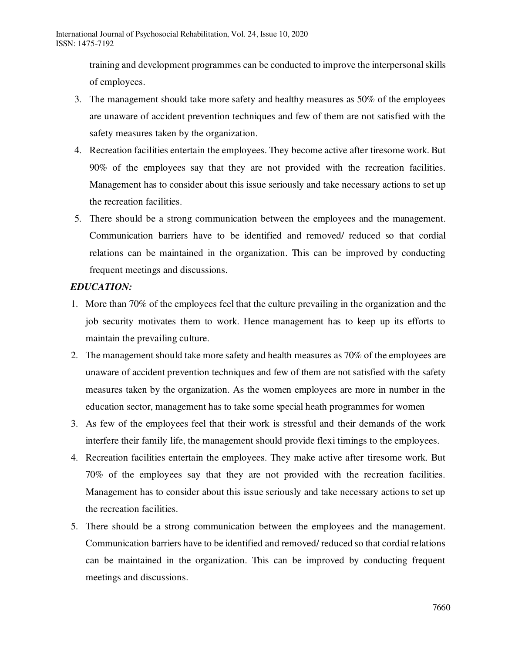training and development programmes can be conducted to improve the interpersonal skills of employees.

- 3. The management should take more safety and healthy measures as 50% of the employees are unaware of accident prevention techniques and few of them are not satisfied with the safety measures taken by the organization.
- 4. Recreation facilities entertain the employees. They become active after tiresome work. But 90% of the employees say that they are not provided with the recreation facilities. Management has to consider about this issue seriously and take necessary actions to set up the recreation facilities.
- 5. There should be a strong communication between the employees and the management. Communication barriers have to be identified and removed/ reduced so that cordial relations can be maintained in the organization. This can be improved by conducting frequent meetings and discussions.

### *EDUCATION:*

- 1. More than 70% of the employees feel that the culture prevailing in the organization and the job security motivates them to work. Hence management has to keep up its efforts to maintain the prevailing culture.
- 2. The management should take more safety and health measures as 70% of the employees are unaware of accident prevention techniques and few of them are not satisfied with the safety measures taken by the organization. As the women employees are more in number in the education sector, management has to take some special heath programmes for women
- 3. As few of the employees feel that their work is stressful and their demands of the work interfere their family life, the management should provide flexi timings to the employees.
- 4. Recreation facilities entertain the employees. They make active after tiresome work. But 70% of the employees say that they are not provided with the recreation facilities. Management has to consider about this issue seriously and take necessary actions to set up the recreation facilities.
- 5. There should be a strong communication between the employees and the management. Communication barriers have to be identified and removed/ reduced so that cordial relations can be maintained in the organization. This can be improved by conducting frequent meetings and discussions.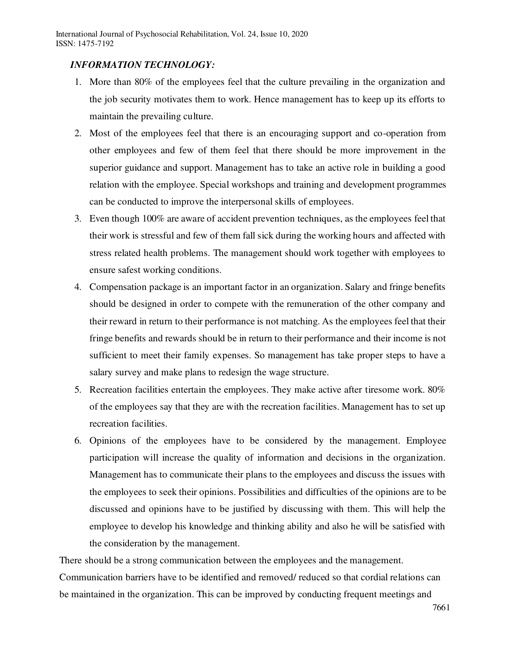### *INFORMATION TECHNOLOGY:*

- 1. More than 80% of the employees feel that the culture prevailing in the organization and the job security motivates them to work. Hence management has to keep up its efforts to maintain the prevailing culture.
- 2. Most of the employees feel that there is an encouraging support and co-operation from other employees and few of them feel that there should be more improvement in the superior guidance and support. Management has to take an active role in building a good relation with the employee. Special workshops and training and development programmes can be conducted to improve the interpersonal skills of employees.
- 3. Even though 100% are aware of accident prevention techniques, as the employees feel that their work is stressful and few of them fall sick during the working hours and affected with stress related health problems. The management should work together with employees to ensure safest working conditions.
- 4. Compensation package is an important factor in an organization. Salary and fringe benefits should be designed in order to compete with the remuneration of the other company and their reward in return to their performance is not matching. As the employees feel that their fringe benefits and rewards should be in return to their performance and their income is not sufficient to meet their family expenses. So management has take proper steps to have a salary survey and make plans to redesign the wage structure.
- 5. Recreation facilities entertain the employees. They make active after tiresome work. 80% of the employees say that they are with the recreation facilities. Management has to set up recreation facilities.
- 6. Opinions of the employees have to be considered by the management. Employee participation will increase the quality of information and decisions in the organization. Management has to communicate their plans to the employees and discuss the issues with the employees to seek their opinions. Possibilities and difficulties of the opinions are to be discussed and opinions have to be justified by discussing with them. This will help the employee to develop his knowledge and thinking ability and also he will be satisfied with the consideration by the management.

There should be a strong communication between the employees and the management. Communication barriers have to be identified and removed/ reduced so that cordial relations can be maintained in the organization. This can be improved by conducting frequent meetings and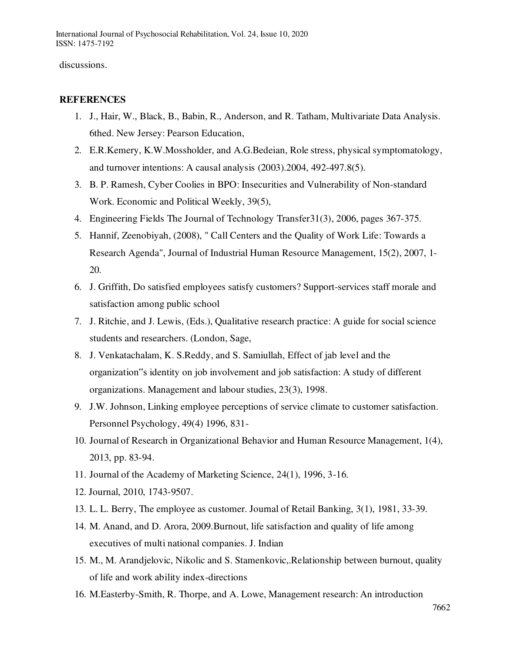discussions.

### **REFERENCES**

- 1. J., Hair, W., Black, B., Babin, R., Anderson, and R. Tatham, Multivariate Data Analysis. 6thed. New Jersey: Pearson Education,
- 2. E.R.Kemery, K.W.Mossholder, and A.G.Bedeian, Role stress, physical symptomatology, and turnover intentions: A causal analysis (2003).2004, 492-497.8(5).
- 3. B. P. Ramesh, Cyber Coolies in BPO: Insecurities and Vulnerability of Non-standard Work. Economic and Political Weekly, 39(5),
- 4. Engineering Fields The Journal of Technology Transfer31(3), 2006, pages 367-375.
- 5. Hannif, Zeenobiyah, (2008), " Call Centers and the Quality of Work Life: Towards a Research Agenda", Journal of Industrial Human Resource Management, 15(2), 2007, 1- 20.
- 6. J. Griffith, Do satisfied employees satisfy customers? Support-services staff morale and satisfaction among public school
- 7. J. Ritchie, and J. Lewis, (Eds.), Qualitative research practice: A guide for social science students and researchers. (London, Sage,
- 8. J. Venkatachalam, K. S.Reddy, and S. Samiullah, Effect of jab level and the organization"s identity on job involvement and job satisfaction: A study of different organizations. Management and labour studies, 23(3), 1998.
- 9. J.W. Johnson, Linking employee perceptions of service climate to customer satisfaction. Personnel Psychology, 49(4) 1996, 831-
- 10. Journal of Research in Organizational Behavior and Human Resource Management, 1(4), 2013, pp. 83-94.
- 11. Journal of the Academy of Marketing Science, 24(1), 1996, 3-16.
- 12. Journal, 2010, 1743-9507.
- 13. L. L. Berry, The employee as customer. Journal of Retail Banking, 3(1), 1981, 33-39.
- 14. M. Anand, and D. Arora, 2009.Burnout, life satisfaction and quality of life among executives of multi national companies. J. Indian
- 15. M., M. Arandjelovic, Nikolic and S. Stamenkovic,.Relationship between burnout, quality of life and work ability index-directions
- 16. M.Easterby-Smith, R. Thorpe, and A. Lowe, Management research: An introduction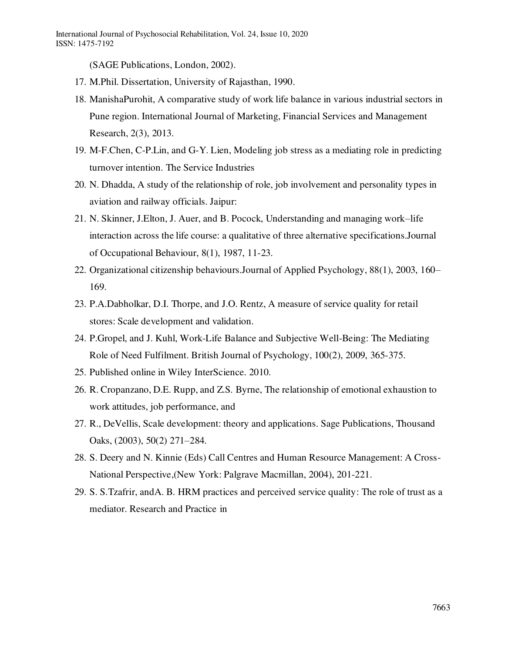(SAGE Publications, London, 2002).

- 17. M.Phil. Dissertation, University of Rajasthan, 1990.
- 18. ManishaPurohit, A comparative study of work life balance in various industrial sectors in Pune region. International Journal of Marketing, Financial Services and Management Research, 2(3), 2013.
- 19. M-F.Chen, C-P.Lin, and G-Y. Lien, Modeling job stress as a mediating role in predicting turnover intention. The Service Industries
- 20. N. Dhadda, A study of the relationship of role, job involvement and personality types in aviation and railway officials. Jaipur:
- 21. N. Skinner, J.Elton, J. Auer, and B. Pocock, Understanding and managing work–life interaction across the life course: a qualitative of three alternative specifications.Journal of Occupational Behaviour, 8(1), 1987, 11-23.
- 22. Organizational citizenship behaviours.Journal of Applied Psychology, 88(1), 2003, 160– 169.
- 23. P.A.Dabholkar, D.I. Thorpe, and J.O. Rentz, A measure of service quality for retail stores: Scale development and validation.
- 24. P.Gropel, and J. Kuhl, Work-Life Balance and Subjective Well-Being: The Mediating Role of Need Fulfilment. British Journal of Psychology, 100(2), 2009, 365-375.
- 25. Published online in Wiley InterScience. 2010.
- 26. R. Cropanzano, D.E. Rupp, and Z.S. Byrne, The relationship of emotional exhaustion to work attitudes, job performance, and
- 27. R., DeVellis, Scale development: theory and applications. Sage Publications, Thousand Oaks, (2003), 50(2) 271–284.
- 28. S. Deery and N. Kinnie (Eds) Call Centres and Human Resource Management: A Cross-National Perspective,(New York: Palgrave Macmillan, 2004), 201-221.
- 29. S. S.Tzafrir, andA. B. HRM practices and perceived service quality: The role of trust as a mediator. Research and Practice in